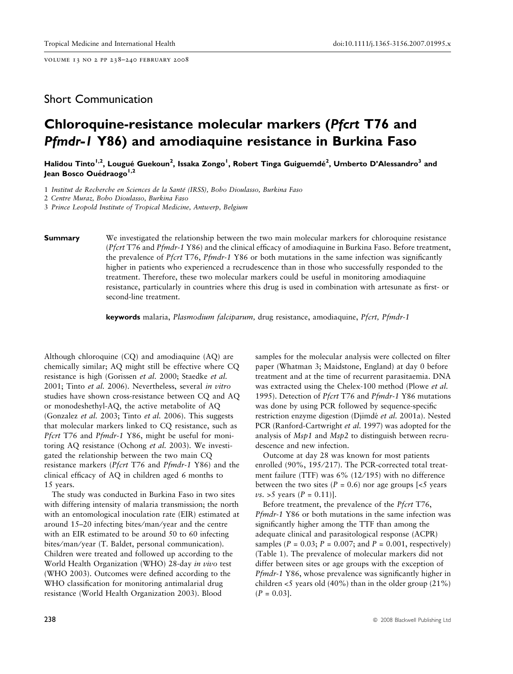volume 13 no 2 pp 238–240 february 2008

# Short Communication

# Chloroquine-resistance molecular markers (Pfcrt T76 and Pfmdr-1 Y86) and amodiaquine resistance in Burkina Faso

Halidou Tinto<sup>1,2</sup>, Lougué Guekoun<sup>2</sup>, Issaka Zongo<sup>1</sup>, Robert Tinga Guiguemdé<sup>2</sup>, Umberto D'Alessandro<sup>3</sup> and Jean Bosco Ouédraogo<sup>1,2</sup>

1 Institut de Recherche en Sciences de la Santé (IRSS), Bobo Dioulasso, Burkina Faso

2 Centre Muraz, Bobo Dioulasso, Burkina Faso

3 Prince Leopold Institute of Tropical Medicine, Antwerp, Belgium

**Summary** We investigated the relationship between the two main molecular markers for chloroquine resistance (Pfcrt T76 and Pfmdr-1 Y86) and the clinical efficacy of amodiaquine in Burkina Faso. Before treatment, the prevalence of *Pfcrt* T76, *Pfmdr*-1 Y86 or both mutations in the same infection was significantly higher in patients who experienced a recrudescence than in those who successfully responded to the treatment. Therefore, these two molecular markers could be useful in monitoring amodiaquine resistance, particularly in countries where this drug is used in combination with artesunate as first- or second-line treatment.

keywords malaria, Plasmodium falciparum, drug resistance, amodiaquine, Pfcrt, Pfmdr-1

Although chloroquine (CQ) and amodiaquine (AQ) are chemically similar; AQ might still be effective where CQ resistance is high (Gorissen et al. 2000; Staedke et al. 2001; Tinto et al. 2006). Nevertheless, several in vitro studies have shown cross-resistance between CQ and AQ or monodeshethyl-AQ, the active metabolite of AQ (Gonzalez et al. 2003; Tinto et al. 2006). This suggests that molecular markers linked to CQ resistance, such as Pfcrt T76 and Pfmdr-1 Y86, might be useful for monitoring AQ resistance (Ochong et al. 2003). We investigated the relationship between the two main CQ resistance markers (*Pfcrt* T76 and *Pfmdr-1* Y86) and the clinical efficacy of AQ in children aged 6 months to 15 years.

The study was conducted in Burkina Faso in two sites with differing intensity of malaria transmission; the north with an entomological inoculation rate (EIR) estimated at around 15–20 infecting bites/man/year and the centre with an EIR estimated to be around 50 to 60 infecting bites/man/year (T. Baldet, personal communication). Children were treated and followed up according to the World Health Organization (WHO) 28-day in vivo test (WHO 2003). Outcomes were defined according to the WHO classification for monitoring antimalarial drug resistance (World Health Organization 2003). Blood

samples for the molecular analysis were collected on filter paper (Whatman 3; Maidstone, England) at day 0 before treatment and at the time of recurrent parasitaemia. DNA was extracted using the Chelex-100 method (Plowe et al. 1995). Detection of Pfcrt T76 and Pfmdr-1 Y86 mutations was done by using PCR followed by sequence-specific restriction enzyme digestion (Djimdé et al. 2001a). Nested PCR (Ranford-Cartwright et al. 1997) was adopted for the analysis of Msp1 and Msp2 to distinguish between recrudescence and new infection.

Outcome at day 28 was known for most patients enrolled (90%, 195/217). The PCR-corrected total treatment failure (TTF) was 6% (12/195) with no difference between the two sites ( $P = 0.6$ ) nor age groups [<5 years  $vs. > 5$  years  $(P = 0.11)$ ].

Before treatment, the prevalence of the Pfcrt T76, Pfmdr-1 Y86 or both mutations in the same infection was significantly higher among the TTF than among the adequate clinical and parasitological response (ACPR) samples ( $P = 0.03$ ;  $P = 0.007$ ; and  $P = 0.001$ , respectively) (Table 1). The prevalence of molecular markers did not differ between sites or age groups with the exception of Pfmdr-1 Y86, whose prevalence was significantly higher in children  $\lt 5$  years old (40%) than in the older group (21%)  $(P = 0.03]$ .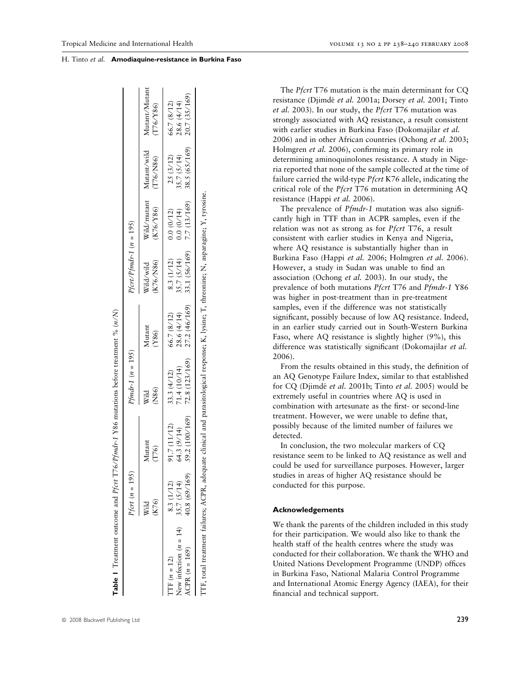|                                      | <i>Pfort</i> $(n = 195)$ |                 | $Pfmdr-1 (n = 195)$            |                 | $Pfort/Pfmdr-1 (n = 195)$ |             |                                      |                            |
|--------------------------------------|--------------------------|-----------------|--------------------------------|-----------------|---------------------------|-------------|--------------------------------------|----------------------------|
|                                      | (K76)<br>Wild            | Mutant<br>(T76) | (N86)<br>Wild                  | Mutant<br>(186) | K76/N86)<br>Wild/wild     | (K76/Y86)   | Wild/mutant Mutant/wild<br>(T76/N86) | Mutant/Mutant<br>(T76/Y86) |
| TF $(n = 12)$                        | 8.3 (1/12)               | 91.7(11/12)     | 33.3 $(4/12)$                  | 66.7 (8/12)     | 8.3 (1/12)                | 0.0(0/12)   | 25 (3/12)                            | 66.7 (8/12)                |
| New infection $(n = 14)$ 35.7 (5/14) |                          | 64.3 (9/14)     | 71.4(10/14)                    | 28.6(4/14)      | 35.7 (5/14)               | 0.0(0/14)   | 35.7 (5/14)                          | 28.6(4/14)                 |
| ACPR $(n = 169)$                     | 40.8 (69/169)            |                 | $59.2(100/169)$ 72.8 (123/169) | 27.2 (46/169)   | 33.1 (56/169)             | 7.7(13/169) | $38.5(65/169)$ 20.7 (35/169)         |                            |

The *Pfcrt* T76 mutation is the main determinant for CQ resistance (Djimdé et al. 2001a; Dorsey et al. 2001; Tinto et al. 2003). In our study, the Pfcrt T76 mutation was strongly associated with AQ resistance, a result consistent with earlier studies in Burkina Faso (Dokomajilar et al. 2006) and in other African countries (Ochong et al. 2003; Holmgren et al. 2006), confirming its primary role in determining aminoquinolones resistance. A study in Nigeria reported that none of the sample collected at the time of failure carried the wild-type Pfcrt K76 allele, indicating the critical role of the Pfcrt T76 mutation in determining AQ resistance (Happi et al. 2006). The prevalence of *Pfmdr-1* mutation was also signifi-

cantly high in TTF than in ACPR samples, even if the relation was not as strong as for Pfcrt T76, a result consistent with earlier studies in Kenya and Nigeria, where AQ resistance is substantially higher than in Burkina Faso (Happi et al. 2006; Holmgren et al. 2006). However, a study in Sudan was unable to find an association (Ochong et al. 2003). In our study, the prevalence of both mutations Pfcrt T76 and Pfmdr-1 Y86 was higher in post-treatment than in pre-treatment samples, even if the difference was not statistically significant, possibly because of low AQ resistance. Indeed, in an earlier study carried out in South-Western Burkina Faso, where AQ resistance is slightly higher (9%), this difference was statistically significant (Dokomajilar et al. 2006).

From the results obtained in this study, the definition of an AQ Genotype Failure Index, similar to that established for CQ (Djimdé et al. 2001b; Tinto et al. 2005) would be extremely useful in countries where AQ is used in combination with artesunate as the first- or second-line treatment. However, we were unable to define that, possibly because of the limited number of failures we detected.

In conclusion, the two molecular markers of CQ resistance seem to be linked to AQ resistance as well and could be used for surveillance purposes. However, larger studies in areas of higher AQ resistance should be conducted for this purpose.

## Acknowledgements

We thank the parents of the children included in this study for their participation. We would also like to thank the health staff of the health centres where the study was conducted for their collaboration. We thank the WHO and United Nations Development Programme (UNDP) offices in Burkina Faso, National Malaria Control Programme and International Atomic Energy Agency (IAEA), for their financial and technical support.

H. Tinto et al. Amodiaquine-resistance in Burkina Faso